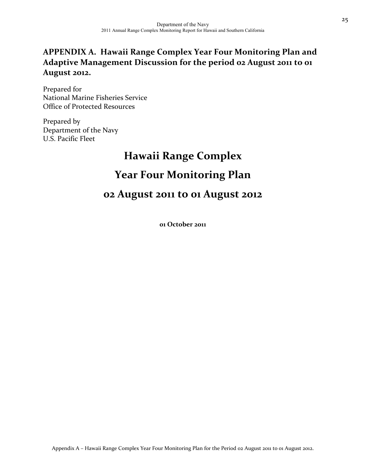### **APPENDIX A. Hawaii Range Complex Year Four Monitoring Plan and Adaptive Management Discussion for the period 02 August 2011 to 01 August 2012.**

Prepared for National Marine Fisheries Service Office of Protected Resources

Prepared by Department of the Navy U.S. Pacific Fleet

# **Hawaii Range Complex Year Four Monitoring Plan**

## **02 August 2011 to 01 August 2012**

**01 October 2011**